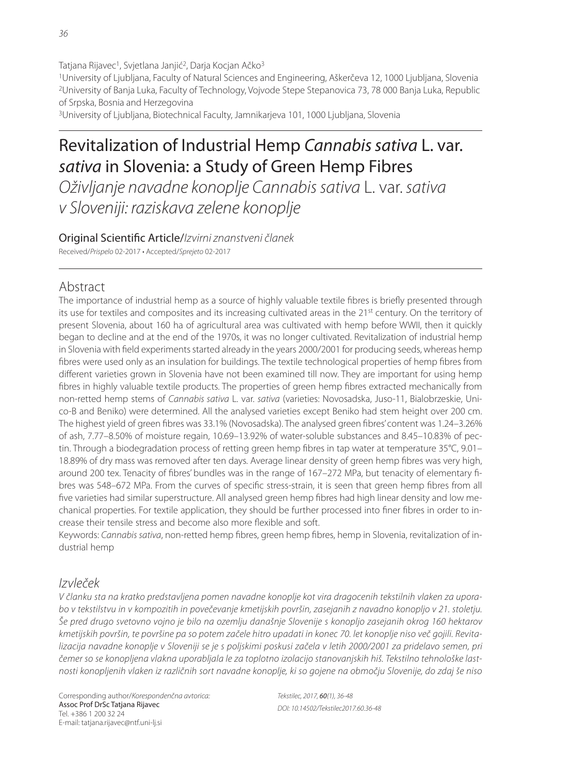Tatjana Rijavec<sup>1</sup>, Svjetlana Janjić<sup>2</sup>, Darja Kocjan Ačko<sup>3</sup> 1University of Ljubljana, Faculty of Natural Sciences and Engineering, Aškerčeva 12, 1000 Ljubljana, Slovenia 2University of Banja Luka, Faculty of Technology, Vojvode Stepe Stepanovica 73, 78 000 Banja Luka, Republic of Srpska, Bosnia and Herzegovina

3University of Ljubljana, Biotechnical Faculty, Jamnikarjeva 101, 1000 Ljubljana, Slovenia

# Revitalization of Industrial Hemp Cannabis sativa L. var. sativa in Slovenia: a Study of Green Hemp Fibres

Oživljanje navadne konoplje Cannabis sativa L. var. sativa v Sloveniji: raziskava zelene konoplje

Original Scientific Article/Izvirni znanstveni članek Received/Prispelo 02-2017 • Accepted/Sprejeto 02-2017

Abstract

The importance of industrial hemp as a source of highly valuable textile fibres is briefly presented through its use for textiles and composites and its increasing cultivated areas in the 21<sup>st</sup> century. On the territory of present Slovenia, about 160 ha of agricultural area was cultivated with hemp before WWII, then it quickly began to decline and at the end of the 1970s, it was no longer cultivated. Revitalization of industrial hemp in Slovenia with field experiments started already in the years 2000/2001 for producing seeds, whereas hemp fibres were used only as an insulation for buildings. The textile technological properties of hemp fibres from different varieties grown in Slovenia have not been examined till now. They are important for using hemp fibres in highly valuable textile products. The properties of green hemp fibres extracted mechanically from non-retted hemp stems of Cannabis sativa L. var. sativa (varieties: Novosadska, Juso-11, Bialobrzeskie, Unico-B and Beniko) were determined. All the analysed varieties except Beniko had stem height over 200 cm. The highest yield of green fibres was 33.1% (Novosadska). The analysed green fibres' content was 1.24–3.26% of ash, 7.77–8.50% of moisture regain, 10.69–13.92% of water-soluble substances and 8.45–10.83% of pectin. Through a biodegradation process of retting green hemp fibres in tap water at temperature  $35^{\circ}$ C,  $9.01-$ 18.89% of dry mass was removed after ten days. Average linear density of green hemp fibres was very high, around 200 tex. Tenacity of fibres' bundles was in the range of 167-272 MPa, but tenacity of elementary fibres was 548–672 MPa. From the curves of specific stress-strain, it is seen that green hemp fibres from all five varieties had similar superstructure. All analysed green hemp fibres had high linear density and low mechanical properties. For textile application, they should be further processed into finer fibres in order to increase their tensile stress and become also more flexible and soft.

Keywords: Cannabis sativa, non-retted hemp fibres, green hemp fibres, hemp in Slovenia, revitalization of industrial hemp

# Izvleček

V članku sta na kratko predstavljena pomen navadne konoplje kot vira dragocenih tekstilnih vlaken za uporabo v tekstilstvu in v kompozitih in povečevanje kmetijskih površin, zasejanih z navadno konopljo v 21. stoletju. Še pred drugo svetovno vojno je bilo na ozemlju današnje Slovenije s konopljo zasejanih okrog 160 hektarov kmetijskih površin, te površine pa so potem začele hitro upadati in konec 70. let konoplje niso več gojili. Revitalizacija navadne konoplje v Sloveniji se je s poljskimi poskusi začela v letih 2000/2001 za pridelavo semen, pri čemer so se konopljena vlakna uporabljala le za toplotno izolacijo stanovanjskih hiš. Tekstilno tehnološke lastnosti konopljenih vlaken iz različnih sort navadne konoplje, ki so gojene na območju Slovenije, do zdaj še niso

Corresponding author/Korespondenčna avtorica: Assoc Prof DrSc Tatjana Rijavec Tel. +386 1 200 32 24 E-mail: tatjana.rijavec@ntf.uni-lj.si

Tekstilec, 2017, 60(1), 36-48 DOI: 10.14502/Tekstilec2017.60.36-48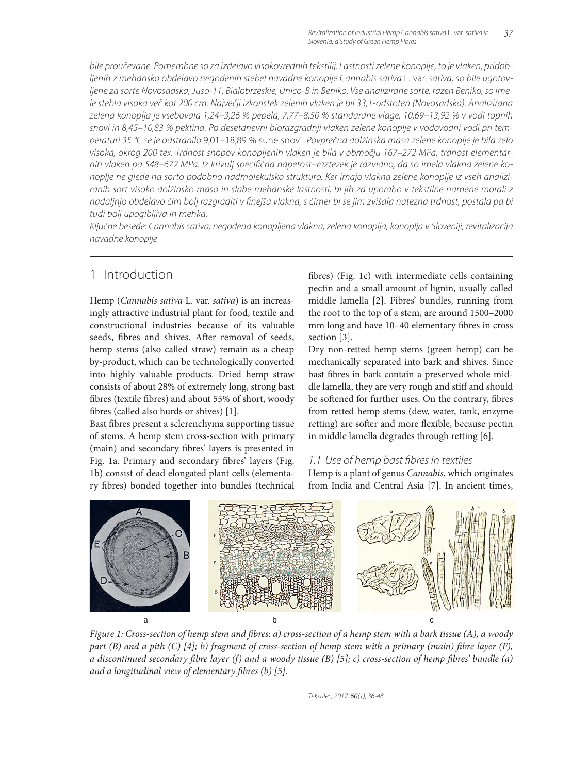bile proučevane. Pomembne so za izdelavo visokovrednih tekstilij. Lastnosti zelene konoplje, to je vlaken, pridobljenih z mehansko obdelavo negodenih stebel navadne konoplje Cannabis sativa L. var. sativa, so bile ugotovljene za sorte Novosadska, Juso-11, Bialobrzeskie, Unico-B in Beniko. Vse analizirane sorte, razen Beniko, so imele stebla visoka več kot 200 cm. Največji izkoristek zelenih vlaken je bil 33,1-odstoten (Novosadska). Analizirana zelena konoplja je vsebovala 1,24–3,26 % pepela, 7,77–8,50 % standardne vlage, 10,69–13,92 % v vodi topnih snovi in 8,45–10,83 % pektina. Po desetdnevni biorazgradnji vlaken zelene konoplje v vodovodni vodi pri temperaturi 35 °C se je odstranilo 9,01–18,89 % suhe snovi. Povprečna dolžinska masa zelene konoplje je bila zelo visoka, okrog 200 tex. Trdnost snopov konopljenih vlaken je bila v območju 167–272 MPa, trdnost elementarnih vlaken pa 548–672 MPa. Iz krivulj specifi čna napetost–raztezek je razvidno, da so imela vlakna zelene konoplje ne glede na sorto podobno nadmolekulsko strukturo. Ker imajo vlakna zelene konoplje iz vseh analiziranih sort visoko dolžinsko maso in slabe mehanske lastnosti, bi jih za uporabo v tekstilne namene morali z nadaljnjo obdelavo čim bolj razgraditi v finejša vlakna, s čimer bi se jim zvišala natezna trdnost, postala pa bi tudi bolj upogibljiva in mehka.

Ključne besede: Cannabis sativa, negodena konopljena vlakna, zelena konoplja, konoplja v Sloveniji, revitalizacija navadne konoplje

# 1 Introduction

Hemp (*Cannabis sativa* L. var. *sativa*) is an increasingly attractive industrial plant for food, textile and constructional industries because of its valuable seeds, fibres and shives. After removal of seeds, hemp stems (also called straw) remain as a cheap by-product, which can be technologically converted into highly valuable products. Dried hemp straw consists of about 28% of extremely long, strong bast fibres (textile fibres) and about 55% of short, woody fibres (called also hurds or shives) [1].

Bast fibres present a sclerenchyma supporting tissue of stems. A hemp stem cross-section with primary (main) and secondary fibres' layers is presented in Fig. 1a. Primary and secondary fibres' layers (Fig. 1b) consist of dead elongated plant cells (elementary fibres) bonded together into bundles (technical fibres) (Fig. 1c) with intermediate cells containing pectin and a small amount of lignin, usually called middle lamella [2]. Fibres' bundles, running from the root to the top of a stem, are around 1500–2000 mm long and have 10-40 elementary fibres in cross section [3].

Dry non-retted hemp stems (green hemp) can be mechanically separated into bark and shives. Since bast fibres in bark contain a preserved whole middle lamella, they are very rough and stiff and should be softened for further uses. On the contrary, fibres from retted hemp stems (dew, water, tank, enzyme retting) are softer and more flexible, because pectin in middle lamella degrades through retting [6].

### 1.1 Use of hemp bast fibres in textiles

Hemp is a plant of genus *Cannabis*, which originates from India and Central Asia [7]. In ancient times,



*Figure 1: Cross-section of hemp stem and fibres: a) cross-section of a hemp stem with a bark tissue (A), a woody part (B) and a pith (C) [4]; b) fragment of cross-section of hemp stem with a primary (main) fibre layer (F), a discontinued secondary fibre layer (f) and a woody tissue (B) [5]; c) cross-section of hemp fibres' bundle (a) and a longitudinal view of elementary fibres (b) [5].*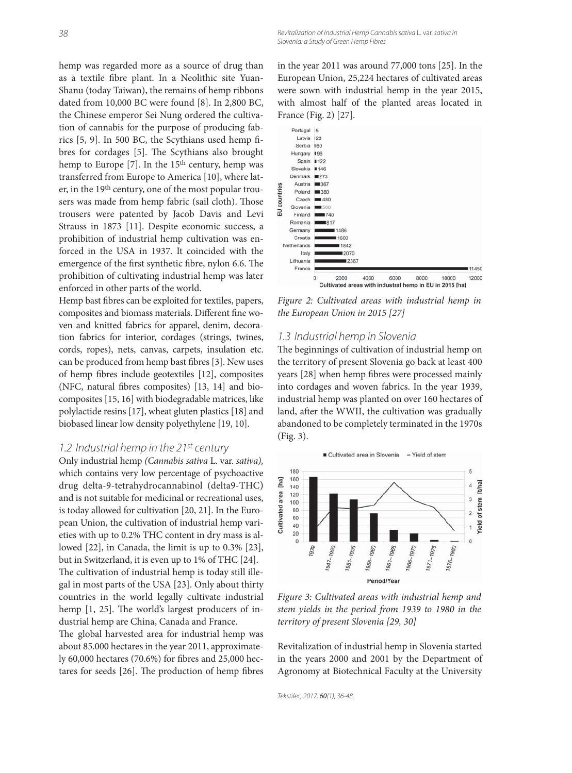hemp was regarded more as a source of drug than as a textile fibre plant. In a Neolithic site Yuan-Shanu (today Taiwan), the remains of hemp ribbons dated from 10,000 BC were found [8]. In 2,800 BC, the Chinese emperor Sei Nung ordered the cultivation of cannabis for the purpose of producing fabrics  $[5, 9]$ . In 500 BC, the Scythians used hemp fibres for cordages [5]. The Scythians also brought hemp to Europe  $[7]$ . In the 15<sup>th</sup> century, hemp was transferred from Europe to America [10], where later, in the 19th century, one of the most popular trousers was made from hemp fabric (sail cloth). Those trousers were patented by Jacob Davis and Levi Strauss in 1873 [11]. Despite economic success, a prohibition of industrial hemp cultivation was enforced in the USA in 1937. It coincided with the emergence of the first synthetic fibre, nylon 6.6. The prohibition of cultivating industrial hemp was later enforced in other parts of the world.

Hemp bast fibres can be exploited for textiles, papers, composites and biomass materials. Different fine woven and knitted fabrics for apparel, denim, decoration fabrics for interior, cordages (strings, twines, cords, ropes), nets, canvas, carpets, insulation etc. can be produced from hemp bast fibres [3]. New uses of hemp fibres include geotextiles [12], composites (NFC, natural fibres composites) [13, 14] and biocomposites [15, 16] with biodegradable matrices, like polylactide resins [17], wheat gluten plastics [18] and biobased linear low density polyethylene [19, 10].

### 1.2 Industrial hemp in the  $21^{st}$  century

Only industrial hemp *(Cannabis sativa* L. var. *sativa),* which contains very low percentage of psychoactive drug delta-9-tetrahydrocannabinol (delta9-THC) and is not suitable for medicinal or recreational uses, is today allowed for cultivation [20, 21]. In the European Union, the cultivation of industrial hemp varieties with up to 0.2% THC content in dry mass is allowed [22], in Canada, the limit is up to 0.3% [23], but in Switzerland, it is even up to 1% of THC [24]. The cultivation of industrial hemp is today still illegal in most parts of the USA [23]. Only about thirty countries in the world legally cultivate industrial hemp  $[1, 25]$ . The world's largest producers of industrial hemp are China, Canada and France.

The global harvested area for industrial hemp was about 85.000 hectares in the year 2011, approximately 60,000 hectares (70.6%) for fibres and 25,000 hectares for seeds  $[26]$ . The production of hemp fibres

in the year 2011 was around 77,000 tons [25]. In the European Union, 25,224 hectares of cultivated areas were sown with industrial hemp in the year 2015, with almost half of the planted areas located in France (Fig. 2) [27].



*Figure 2: Cultivated areas with industrial hemp in the European Union in 2015 [27]*

### 1.3 Industrial hemp in Slovenia

The beginnings of cultivation of industrial hemp on the territory of present Slovenia go back at least 400 years [28] when hemp fibres were processed mainly into cordages and woven fabrics. In the year 1939, industrial hemp was planted on over 160 hectares of land, after the WWII, the cultivation was gradually abandoned to be completely terminated in the 1970s (Fig. 3).



*Figure 3: Cultivated areas with industrial hemp and stem yields in the period from 1939 to 1980 in the territory of present Slovenia [29, 30]*

Revitalization of industrial hemp in Slovenia started in the years 2000 and 2001 by the Department of Agronomy at Biotechnical Faculty at the University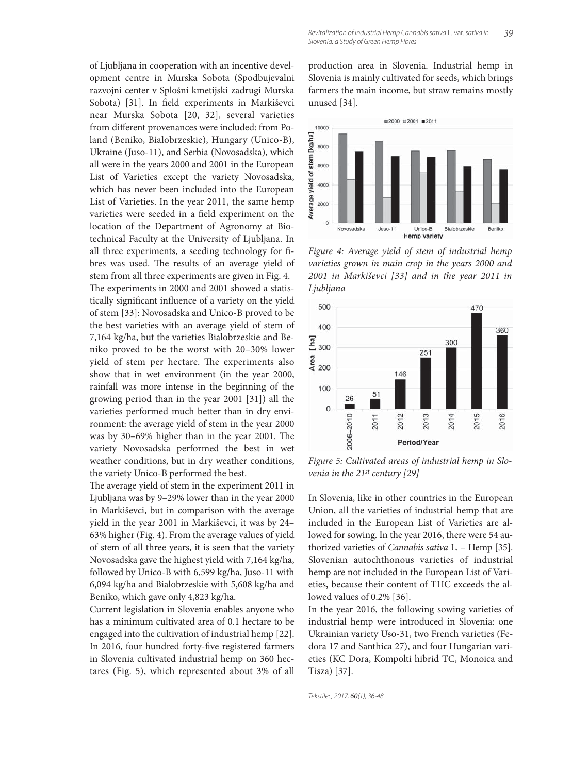of Ljubljana in cooperation with an incentive development centre in Murska Sobota (Spodbujevalni razvojni center v Splošni kmetijski zadrugi Murska Sobota) [31]. In field experiments in Markiševci near Murska Sobota [20, 32], several varieties from different provenances were included: from Poland (Beniko, Bialobrzeskie), Hungary (Unico-B), Ukraine (Juso-11), and Serbia (Novosadska), which all were in the years 2000 and 2001 in the European List of Varieties except the variety Novosadska, which has never been included into the European List of Varieties. In the year 2011, the same hemp varieties were seeded in a field experiment on the location of the Department of Agronomy at Biotechnical Faculty at the University of Ljubljana. In all three experiments, a seeding technology for fibres was used. The results of an average yield of stem from all three experiments are given in Fig. 4. The experiments in 2000 and 2001 showed a statistically significant influence of a variety on the yield of stem [33]: Novosadska and Unico-B proved to be the best varieties with an average yield of stem of 7,164 kg/ha, but the varieties Bialobrzeskie and Beniko proved to be the worst with 20–30% lower yield of stem per hectare. The experiments also show that in wet environment (in the year 2000, rainfall was more intense in the beginning of the growing period than in the year 2001 [31]) all the varieties performed much better than in dry environment: the average yield of stem in the year 2000 was by 30-69% higher than in the year 2001. The variety Novosadska performed the best in wet weather conditions, but in dry weather conditions, the variety Unico-B performed the best.

The average yield of stem in the experiment 2011 in Ljubljana was by 9–29% lower than in the year 2000 in Markiševci, but in comparison with the average yield in the year 2001 in Markiševci, it was by 24– 63% higher (Fig. 4). From the average values of yield of stem of all three years, it is seen that the variety Novosadska gave the highest yield with 7,164 kg/ha, followed by Unico-B with 6,599 kg/ha, Juso-11 with 6,094 kg/ha and Bialobrzeskie with 5,608 kg/ha and Beniko, which gave only 4,823 kg/ha.

Current legislation in Slovenia enables anyone who has a minimum cultivated area of 0.1 hectare to be engaged into the cultivation of industrial hemp [22]. In 2016, four hundred forty-five registered farmers in Slovenia cultivated industrial hemp on 360 hectares (Fig. 5), which represented about 3% of all production area in Slovenia. Industrial hemp in Slovenia is mainly cultivated for seeds, which brings farmers the main income, but straw remains mostly unused [34].



*Figure 4: Average yield of stem of industrial hemp varieties grown in main crop in the years 2000 and 2001 in Markiševci [33] and in the year 2011 in Ljub ljana*



*Figure 5: Cultivated areas of industrial hemp in Slovenia in the 21st century [29]*

In Slovenia, like in other countries in the European Union, all the varieties of industrial hemp that are included in the European List of Varieties are allowed for sowing. In the year 2016, there were 54 authorized varieties of *Cannabis sativa* L. – Hemp [35]. Slovenian autochthonous varieties of industrial hemp are not included in the European List of Varieties, because their content of THC exceeds the allowed values of 0.2% [36].

In the year 2016, the following sowing varieties of industrial hemp were introduced in Slovenia: one Ukrainian variety Uso-31, two French varieties (Fedora 17 and Santhica 27), and four Hungarian varieties (KC Dora, Kompolti hibrid TC, Monoica and Tisza) [37].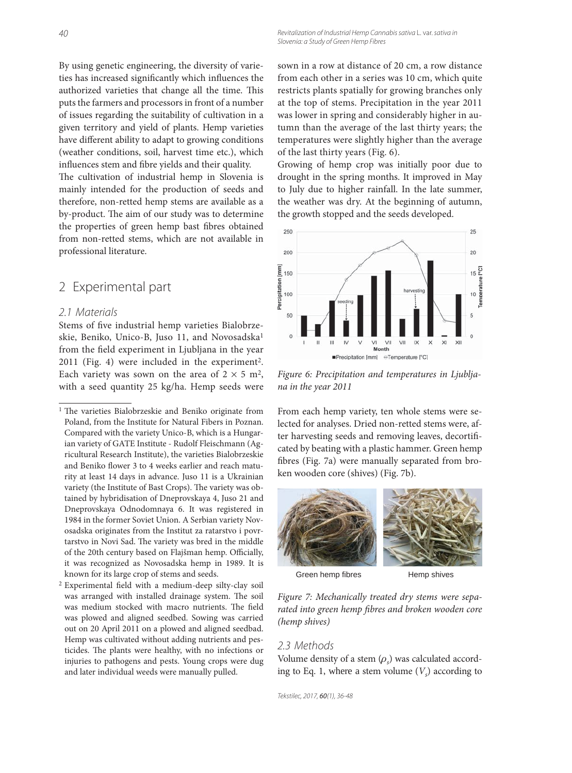By using genetic engineering, the diversity of varieties has increased significantly which influences the authorized varieties that change all the time. This puts the farmers and processors in front of a number of issues regarding the suitability of cultivation in a given territory and yield of plants. Hemp varieties have different ability to adapt to growing conditions (weather conditions, soil, harvest time etc.), which influences stem and fibre yields and their quality.

The cultivation of industrial hemp in Slovenia is mainly intended for the production of seeds and therefore, non-retted hemp stems are available as a by-product. The aim of our study was to determine the properties of green hemp bast fibres obtained from non-retted stems, which are not available in professional literature.

## 2 Experimental part

### 2.1 Materials

Stems of five industrial hemp varieties Bialobrzeskie, Beniko, Unico-B, Juso 11, and Novosadska<sup>1</sup> from the field experiment in Ljubljana in the year 2011 (Fig. 4) were included in the experiment<sup>2</sup>. Each variety was sown on the area of  $2 \times 5$  m<sup>2</sup>, with a seed quantity 25 kg/ha. Hemp seeds were

 $2$  Experimental field with a medium-deep silty-clay soil was arranged with installed drainage system. The soil was medium stocked with macro nutrients. The field was plowed and aligned seedbed. Sowing was carried out on 20 April 2011 on a plowed and aligned seedbad. Hemp was cultivated without adding nutrients and pesticides. The plants were healthy, with no infections or injuries to pathogens and pests. Young crops were dug and later individual weeds were manually pulled.

sown in a row at distance of 20 cm, a row distance from each other in a series was 10 cm, which quite restricts plants spatially for growing branches only at the top of stems. Precipitation in the year 2011 was lower in spring and considerably higher in autumn than the average of the last thirty years; the temperatures were slightly higher than the average of the last thirty years (Fig. 6).

Growing of hemp crop was initially poor due to drought in the spring months. It improved in May to July due to higher rainfall. In the late summer, the weather was dry. At the beginning of autumn, the growth stopped and the seeds developed.



*Figure 6: Precipitation and temperatures in Ljubljana in the year 2011*

From each hemp variety, ten whole stems were selected for analyses. Dried non-retted stems were, after harvesting seeds and removing leaves, decortificated by beating with a plastic hammer. Green hemp fibres (Fig. 7a) were manually separated from broken wooden core (shives) (Fig. 7b).



Green hemp fibres Hemp shives

*Figure 7: Mechanically treated dry stems were sepa*rated into green hemp fibres and broken wooden core *(hemp shives)*

### 2.3 Methods

Volume density of a stem  $(\rho_s)$  was calculated according to Eq. 1, where a stem volume  $(V_s)$  according to

<sup>&</sup>lt;sup>1</sup> The varieties Bialobrzeskie and Beniko originate from Poland, from the Institute for Natural Fibers in Poznan. Compared with the variety Unico-B, which is a Hungarian variety of GATE Institute - Rudolf Fleischmann (Agricultural Research Institute), the varieties Bialobrzeskie and Beniko flower 3 to 4 weeks earlier and reach maturity at least 14 days in advance. Juso 11 is a Ukrainian variety (the Institute of Bast Crops). The variety was obtained by hybridisation of Dneprovskaya 4, Juso 21 and Dneprovskaya Odnodomnaya 6. It was registered in 1984 in the former Soviet Union. A Serbian variety Novosadska originates from the Institut za ratarstvo i povrtarstvo in Novi Sad. The variety was bred in the middle of the 20th century based on Flajšman hemp. Officially, it was recognized as Novosadska hemp in 1989. It is known for its large crop of stems and seeds.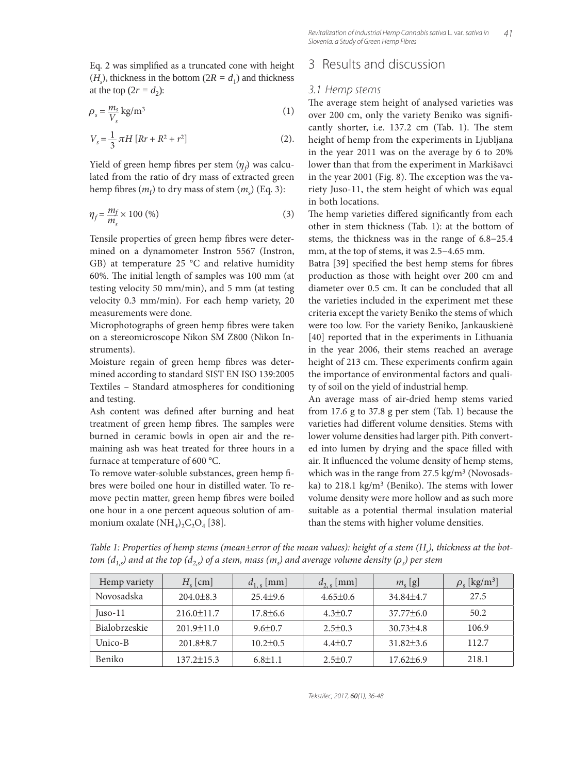Eq. 2 was simplified as a truncated cone with height  $(H<sub>s</sub>)$ , thickness in the bottom  $(2R = d<sub>1</sub>)$  and thickness at the top  $(2r = d_2)$ :

$$
\rho_s = \frac{m_s}{V_s} \,\text{kg/m}^3\tag{1}
$$

$$
V_s = \frac{1}{3} \pi H \left[ Rr + R^2 + r^2 \right] \tag{2}.
$$

Yield of green hemp fibres per stem  $(\eta_f)$  was calculated from the ratio of dry mass of extracted green hemp fibres  $(m_f)$  to dry mass of stem  $(m_s)$  (Eq. 3):

$$
\eta_f = \frac{m_f}{m_s} \times 100\ (%)\tag{3}
$$

Tensile properties of green hemp fibres were determined on a dynamometer Instron 5567 (Instron, GB) at temperature 25 °C and relative humidity 60%. The initial length of samples was 100 mm (at testing velocity 50 mm/min), and 5 mm (at testing velocity 0.3 mm/min). For each hemp variety, 20 measurements were done.

Microphotographs of green hemp fibres were taken on a stereomicroscope Nikon SM Z800 (Nikon Instruments).

Moisture regain of green hemp fibres was determined according to standard SIST EN ISO 139:2005 Textiles – Standard atmospheres for conditioning and testing.

Ash content was defined after burning and heat treatment of green hemp fibres. The samples were burned in ceramic bowls in open air and the remaining ash was heat treated for three hours in a furnace at temperature of 600 °C.

To remove water-soluble substances, green hemp fibres were boiled one hour in distilled water. To remove pectin matter, green hemp fibres were boiled one hour in a one percent aqueous solution of ammonium oxalate  $(NH_4)_2C_2O_4$  [38].

### 3 Results and discussion

### 3.1 Hemp stems

The average stem height of analysed varieties was over 200 cm, only the variety Beniko was significantly shorter, i.e. 137.2 cm (Tab. 1). The stem height of hemp from the experiments in Ljubljana in the year 2011 was on the average by 6 to 20% lower than that from the experiment in Markišavci in the year 2001 (Fig. 8). The exception was the variety Juso-11, the stem height of which was equal in both locations.

The hemp varieties differed significantly from each other in stem thickness (Tab. 1): at the bottom of stems, the thickness was in the range of 6.8−25.4 mm, at the top of stems, it was 2.5−4.65 mm.

Batra [39] specified the best hemp stems for fibres production as those with height over 200 cm and diameter over 0.5 cm. It can be concluded that all the varieties included in the experiment met these criteria except the variety Beniko the stems of which were too low. For the variety Beniko, Jankauskienė [40] reported that in the experiments in Lithuania in the year 2006, their stems reached an average height of 213 cm. These experiments confirm again the importance of environmental factors and quality of soil on the yield of industrial hemp.

An average mass of air-dried hemp stems varied from 17.6 g to 37.8 g per stem (Tab. 1) because the varieties had different volume densities. Stems with lower volume densities had larger pith. Pith converted into lumen by drying and the space filled with air. It influenced the volume density of hemp stems, which was in the range from 27.5 kg/m<sup>3</sup> (Novosadska) to 218.1 kg/m<sup>3</sup> (Beniko). The stems with lower volume density were more hollow and as such more suitable as a potential thermal insulation material than the stems with higher volume densities.

*Table 1: Properties of hemp stems (mean±error of the mean values): height of a stem (Hs ), thickness at the bottom (d<sub>1,s</sub>) and at the top (d<sub>2,s</sub>) of a stem, mass (m<sub>s</sub>) and average volume density (ρ<sub>s</sub>) per stem* 

| Hemp variety  | $H_{\rm s}$ [cm] | $d_{1,s}$ [mm] | $d_{2,s}$ [mm] | $m_{\rm s}$ [g] | $\rho_{\rm s}$ [kg/m <sup>3</sup> ] |  |
|---------------|------------------|----------------|----------------|-----------------|-------------------------------------|--|
| Novosadska    | $204.0 \pm 8.3$  | $25.4\pm9.6$   | $4.65\pm0.6$   | 34.84 ± 4.7     | 27.5                                |  |
| $Juso-11$     | $216.0 \pm 11.7$ | $17.8 \pm 6.6$ | $4.3 \pm 0.7$  | $37.77\pm 6.0$  | 50.2                                |  |
| Bialobrzeskie | $201.9 \pm 11.0$ | $9.6 \pm 0.7$  | $2.5 \pm 0.3$  | $30.73\pm4.8$   | 106.9                               |  |
| Unico-B       | $201.8 \pm 8.7$  | $10.2 \pm 0.5$ | $4.4 \pm 0.7$  | $31.82\pm3.6$   | 112.7                               |  |
| Beniko        | $137.2 \pm 15.3$ | $6.8 \pm 1.1$  | $2.5 \pm 0.7$  | $17.62\pm 6.9$  | 218.1                               |  |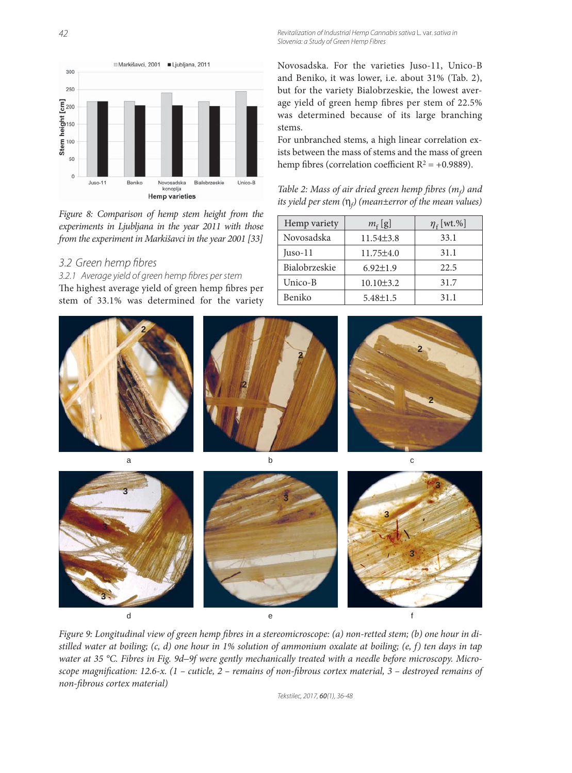42 Revitalization of Industrial Hemp Cannabis sativa L. var. sativa in Slovenia: a Study of Green Hemp Fibres



*Figure 8: Comparison of hemp stem height from the experiments in Ljubljana in the year 2011 with those from the experiment in Markišavci in the year 2001 [33]*

### 3.2 Green hemp fibres

3.2.1 Average yield of green hemp fibres per stem The highest average yield of green hemp fibres per stem of 33.1% was determined for the variety

Novosadska. For the varieties Juso-11, Unico-B and Beniko, it was lower, i.e. about 31% (Tab. 2), but for the variety Bialobrzeskie, the lowest average yield of green hemp fibres per stem of 22.5% was determined because of its large branching stems.

For unbranched stems, a high linear correlation exists between the mass of stems and the mass of green hemp fibres (correlation coefficient  $R^2 = +0.9889$ ).

*Table 2: Mass of air dried green hemp fibres*  $(m_f)$  *and its yield per stem (*η*<sup>f</sup> ) (mean±error of the mean values)*

| Hemp variety  | $m_f$ [g]       | $\eta_{\rm f}$ [wt.%] |  |  |
|---------------|-----------------|-----------------------|--|--|
| Novosadska    | $11.54\pm3.8$   | 33.1                  |  |  |
| Juso-11       | $11.75 \pm 4.0$ | 31.1                  |  |  |
| Bialobrzeskie | $6.92 \pm 1.9$  | 22.5                  |  |  |
| Unico-B       | $10.10 \pm 3.2$ | 31.7                  |  |  |
| Beniko        | $5.48 \pm 1.5$  | 31.1                  |  |  |



de the form of the form of  $\epsilon$  for  $f$ Figure 9: Longitudinal view of green hemp fibres in a stereomicroscope: (a) non-retted stem; (b) one hour in di-**3 3 3 3**

*stilled water at boiling; (c, d) one hour in 1% solution of ammonium oxalate at boiling; (e, f) ten days in tap water at 35 °C. Fibres in Fig. 9d–9f were gently mechanically treated with a needle before microscopy. Microscope magnification: 12.6-x. (1 – cuticle, 2 – remains of non-fibrous cortex material, 3 – destroyed remains of non-fi brous cortex material)*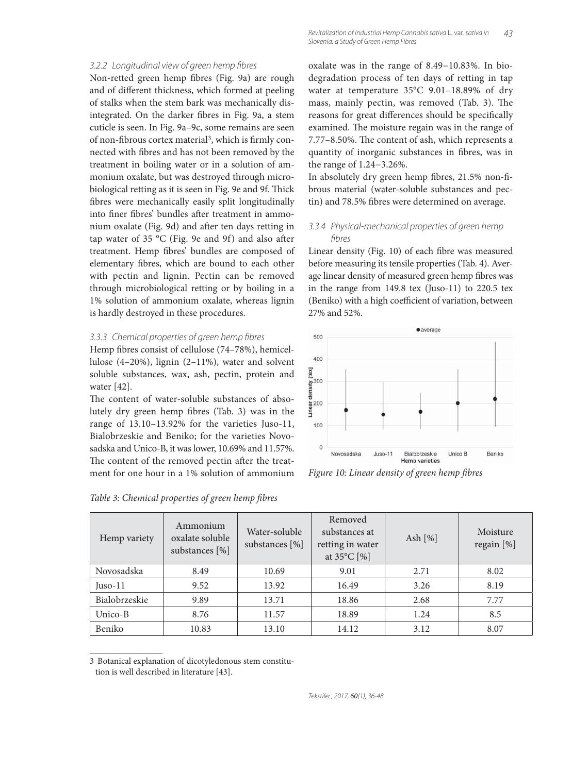#### 3.2.2 Longitudinal view of green hemp fibres

Non-retted green hemp fibres (Fig. 9a) are rough and of different thickness, which formed at peeling of stalks when the stem bark was mechanically disintegrated. On the darker fibres in Fig. 9a, a stem cuticle is seen. In Fig. 9a–9c, some remains are seen of non-fibrous cortex material<sup>3</sup>, which is firmly connected with fibres and has not been removed by the treatment in boiling water or in a solution of ammonium oxalate, but was destroyed through microbiological retting as it is seen in Fig. 9e and 9f. Thick fibres were mechanically easily split longitudinally into finer fibres' bundles after treatment in ammonium oxalate (Fig. 9d) and after ten days retting in tap water of 35  $^{\circ}$ C (Fig. 9e and 9f) and also after treatment. Hemp fibres' bundles are composed of elementary fibres, which are bound to each other with pectin and lignin. Pectin can be removed through microbiological retting or by boiling in a 1% solution of ammonium oxalate, whereas lignin is hardly destroyed in these procedures.

#### 3.3.3 Chemical properties of green hemp fibres

Hemp fibres consist of cellulose (74–78%), hemicellulose (4–20%), lignin (2–11%), water and solvent soluble substances, wax, ash, pectin, protein and water [42].

The content of water-soluble substances of absolutely dry green hemp fibres (Tab. 3) was in the range of 13.10–13.92% for the varieties Juso-11, Bialobrzeskie and Beniko; for the varieties Novosadska and Unico-B, it was lower, 10.69% and 11.57%. The content of the removed pectin after the treatment for one hour in a 1% solution of ammonium oxalate was in the range of 8.49−10.83%. In biodegradation process of ten days of retting in tap water at temperature 35°C 9.01–18.89% of dry mass, mainly pectin, was removed (Tab. 3). The reasons for great differences should be specifically examined. The moisture regain was in the range of 7.77–8.50%. The content of ash, which represents a quantity of inorganic substances in fibres, was in the range of 1.24−3.26%.

In absolutely dry green hemp fibres, 21.5% non-fibrous material (water-soluble substances and pectin) and 78.5% fibres were determined on average.

### 3.3.4 Physical-mechanical properties of green hemp fibres

Linear density (Fig. 10) of each fibre was measured before measuring its tensile properties (Tab. 4). Average linear density of measured green hemp fibres was in the range from 149.8 tex (Juso-11) to 220.5 tex (Beniko) with a high coefficient of variation, between 27% and 52%.



*Figure 10: Linear density of green hemp fibres* 

| Hemp variety  | Ammonium<br>oxalate soluble<br>substances [%] | Water-soluble<br>substances $[\%]$ | Removed<br>substances at<br>retting in water<br>at $35^{\circ}$ C [%] | Ash $[\%]$ | Moisture<br>regain [%] |  |
|---------------|-----------------------------------------------|------------------------------------|-----------------------------------------------------------------------|------------|------------------------|--|
| Novosadska    | 8.49                                          | 10.69                              | 9.01                                                                  | 2.71       | 8.02                   |  |
| $Juso-11$     | 9.52                                          | 13.92                              | 16.49                                                                 | 3.26       | 8.19                   |  |
| Bialobrzeskie | 9.89                                          | 13.71                              | 18.86                                                                 | 2.68       | 7.77                   |  |
| Unico-B       | 8.76                                          | 11.57                              | 18.89                                                                 | 1.24       | 8.5                    |  |
| Beniko        | 10.83                                         | 13.10                              | 14.12                                                                 | 3.12       | 8.07                   |  |

Table 3: Chemical properties of green hemp fibres

<sup>3</sup> Botanical explanation of dicotyledonous stem constitu-

tion is well described in literature [43].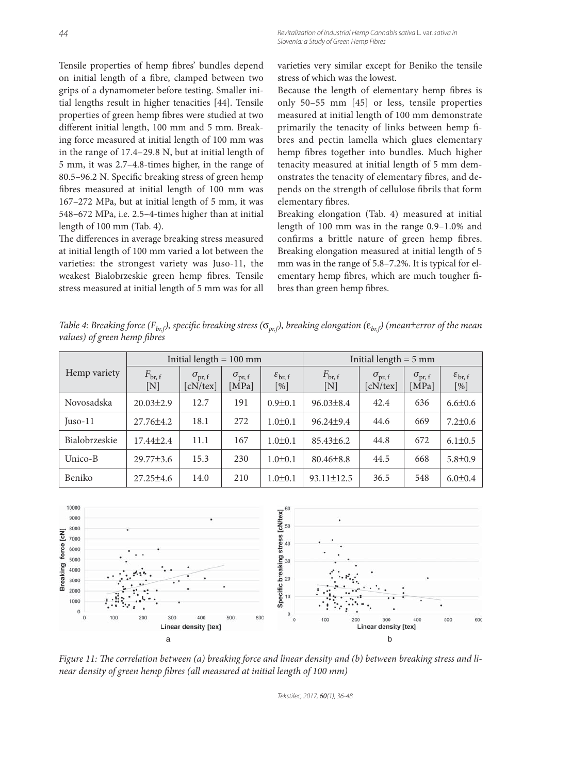Tensile properties of hemp fibres' bundles depend on initial length of a fibre, clamped between two grips of a dynamometer before testing. Smaller initial lengths result in higher tenacities [44]. Tensile properties of green hemp fibres were studied at two different initial length, 100 mm and 5 mm. Breaking force measured at initial length of 100 mm was in the range of 17.4–29.8 N, but at initial length of 5 mm, it was 2.7–4.8-times higher, in the range of 80.5–96.2 N. Specific breaking stress of green hemp fibres measured at initial length of 100 mm was 167–272 MPa, but at initial length of 5 mm, it was 548–672 MPa, i.e. 2.5–4-times higher than at initial length of 100 mm (Tab. 4).

The differences in average breaking stress measured at initial length of 100 mm varied a lot between the varieties: the strongest variety was Juso-11, the weakest Bialobrzeskie green hemp fibres. Tensile stress measured at initial length of 5 mm was for all varieties very similar except for Beniko the tensile stress of which was the lowest.

Because the length of elementary hemp fibres is only 50–55 mm [45] or less, tensile properties measured at initial length of 100 mm demonstrate primarily the tenacity of links between hemp fibres and pectin lamella which glues elementary hemp fibres together into bundles. Much higher tenacity measured at initial length of 5 mm demonstrates the tenacity of elementary fibres, and depends on the strength of cellulose fibrils that form elementary fibres.

Breaking elongation (Tab. 4) measured at initial length of 100 mm was in the range 0.9–1.0% and confirms a brittle nature of green hemp fibres. Breaking elongation measured at initial length of 5 mm was in the range of 5.8–7.2%. It is typical for elementary hemp fibres, which are much tougher fibres than green hemp fibres.

*Table 4: Breaking force (F<sub>br,f</sub>), specific breaking stress (*σ<sub>*pr,f</sub>), breaking elongation (ε<sub>br,f</sub>) (mean±error of the mean*</sub> *values*) of green hemp fibres

|               | Initial length $= 100$ mm                        |                                    |                             | Initial length $= 5$ mm          |                                                  |                                       |                               |                                  |
|---------------|--------------------------------------------------|------------------------------------|-----------------------------|----------------------------------|--------------------------------------------------|---------------------------------------|-------------------------------|----------------------------------|
| Hemp variety  | $F_{\text{br, f}}$<br>$\left[ \mathrm{N}\right]$ | $\sigma_{\rm pr,~f}$<br>$cN$ /tex] | $\sigma_{\rm pr,~f}$<br>MPa | $\varepsilon_{\rm br, f}$<br>[%] | $F_{\text{br, f}}$<br>$\left[ \mathrm{N}\right]$ | $\sigma_{\rm pr,~f}$<br>$cN$ /tex $]$ | $\sigma_{\rm pr,~f}$<br>[MPa] | $\varepsilon_{\rm br, f}$<br>[%] |
| Novosadska    | $20.03 \pm 2.9$                                  | 12.7                               | 191                         | $0.9 \pm 0.1$                    | $96.03 \pm 8.4$                                  | 42.4                                  | 636                           | $6.6 \pm 0.6$                    |
| $Juso-11$     | $27.76 \pm 4.2$                                  | 18.1                               | 272                         | $1.0 \pm 0.1$                    | $96.24 \pm 9.4$                                  | 44.6                                  | 669                           | $7.2 \pm 0.6$                    |
| Bialobrzeskie | $17.44\pm 2.4$                                   | 11.1                               | 167                         | $1.0 \pm 0.1$                    | $85.43\pm 6.2$                                   | 44.8                                  | 672                           | $6.1 \pm 0.5$                    |
| Unico-B       | $29.77 \pm 3.6$                                  | 15.3                               | 230                         | $1.0 \pm 0.1$                    | $80.46 \pm 8.8$                                  | 44.5                                  | 668                           | $5.8 \pm 0.9$                    |
| Beniko        | $27.25 \pm 4.6$                                  | 14.0                               | 210                         | $1.0 \pm 0.1$                    | $93.11 \pm 12.5$                                 | 36.5                                  | 548                           | $6.0 \pm 0.4$                    |



Figure 11: The correlation between (a) breaking force and linear density and (b) between breaking stress and li*near density of green hemp fibres (all measured at initial length of 100 mm)*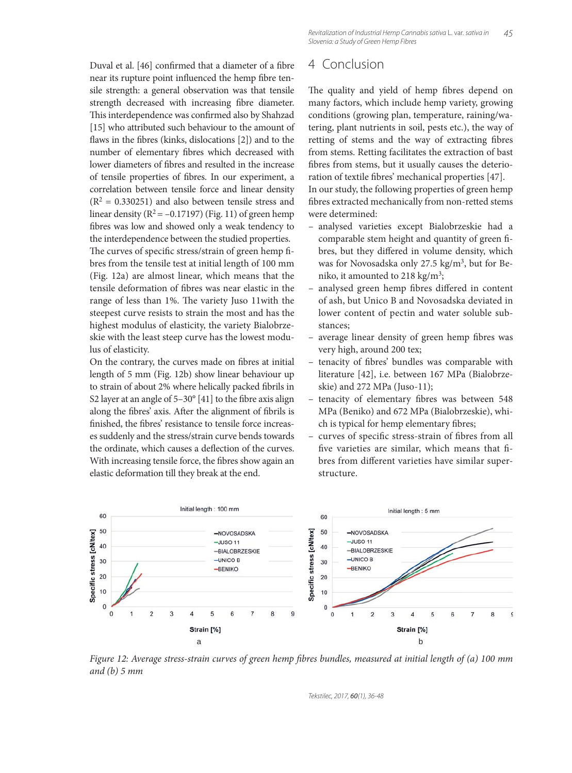Duval et al. [46] confirmed that a diameter of a fibre near its rupture point influenced the hemp fibre tensile strength: a general observation was that tensile strength decreased with increasing fibre diameter. This interdependence was confirmed also by Shahzad [15] who attributed such behaviour to the amount of flaws in the fibres (kinks, dislocations [2]) and to the number of elementary fibres which decreased with lower diameters of fibres and resulted in the increase of tensile properties of fibres. In our experiment, a correlation between tensile force and linear density  $(R<sup>2</sup> = 0.330251)$  and also between tensile stress and linear density ( $R^2 = -0.17197$ ) (Fig. 11) of green hemp fibres was low and showed only a weak tendency to the interdependence between the studied properties. The curves of specific stress/strain of green hemp fibres from the tensile test at initial length of 100 mm (Fig. 12a) are almost linear, which means that the tensile deformation of fibres was near elastic in the range of less than 1%. The variety Juso 11with the steepest curve resists to strain the most and has the highest modulus of elasticity, the variety Bialobrzeskie with the least steep curve has the lowest modulus of elasticity.

On the contrary, the curves made on fibres at initial length of 5 mm (Fig. 12b) show linear behaviour up to strain of about 2% where helically packed fibrils in S2 layer at an angle of  $5-30^{\circ}$  [41] to the fibre axis align along the fibres' axis. After the alignment of fibrils is finished, the fibres' resistance to tensile force increases suddenly and the stress/strain curve bends towards the ordinate, which causes a deflection of the curves. With increasing tensile force, the fibres show again an elastic deformation till they break at the end.

# 4 Conclusion

The quality and yield of hemp fibres depend on many factors, which include hemp variety, growing conditions (growing plan, temperature, raining/watering, plant nutrients in soil, pests etc.), the way of retting of stems and the way of extracting fibres from stems. Retting facilitates the extraction of bast fibres from stems, but it usually causes the deterioration of textile fibres' mechanical properties [47].

In our study, the following properties of green hemp fibres extracted mechanically from non-retted stems were determined:

- analysed varieties except Bialobrzeskie had a comparable stem height and quantity of green fibres, but they differed in volume density, which was for Novosadska only 27.5 kg/m3, but for Beniko, it amounted to 218 kg/m3;
- analysed green hemp fibres differed in content of ash, but Unico B and Novosadska deviated in lower content of pectin and water soluble substances;
- average linear density of green hemp fibres was very high, around 200 tex;
- tenacity of fibres' bundles was comparable with literature [42], i.e. between 167 MPa (Bialobrzeskie) and 272 MPa (Juso-11);
- tenacity of elementary fibres was between 548 MPa (Beniko) and 672 MPa (Bialobrzeskie), which is typical for hemp elementary fibres;
- curves of specific stress-strain of fibres from all five varieties are similar, which means that fibres from different varieties have similar superstructure.



*Figure 12: Average stress-strain curves of green hemp fibres bundles, measured at initial length of (a) 100 mm and (b) 5 mm*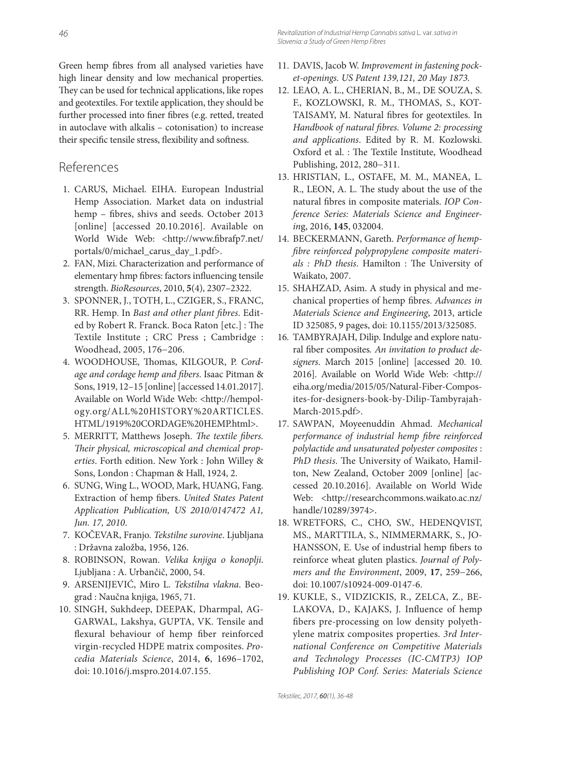Green hemp fibres from all analysed varieties have high linear density and low mechanical properties. They can be used for technical applications, like ropes and geotextiles. For textile application, they should be further processed into finer fibres (e.g. retted, treated in autoclave with alkalis – cotonisation) to increase their specific tensile stress, flexibility and softness.

### References

- 1. CARUS, Michael. EIHA. European Industrial Hemp Association. Market data on industrial hemp - fibres, shivs and seeds. October 2013 [online] [accessed 20.10.2016]. Available on World Wide Web: <http://www.fibrafp7.net/ portals/0/michael\_carus\_day\_1.pdf>.
- 2. FAN, Mizi. Characterization and performance of elementary hmp fibres: factors influencing tensile strength. *BioResources*, 2010, **5**(4), 2307–2322.
- 3. SPONNER, J., TOTH, L., CZIGER, S., FRANC, RR. Hemp. In *Bast and other plant fibres*. Edited by Robert R. Franck. Boca Raton [etc.] : The Textile Institute ; CRC Press ; Cambridge : Woodhead, 2005, 176−206.
- 4. WOODHOUSE, Thomas, KILGOUR, P. Cord*age and cordage hemp and fibers*. Isaac Pitman & Sons, 1919, 12–15 [online] [accessed 14.01.2017]. Available on World Wide Web: <http://hempology.org/ALL%20HISTORY%20ARTICLES. HTML/1919%20CORDAGE%20HEMP.html>.
- 5. MERRITT, Matthews Joseph. *The textile fibers*. Their physical, microscopical and chemical prop*erties*. Forth edition. New York : John Willey & Sons, London : Chapman & Hall, 1924, 2.
- 6. SUNG, Wing L., WOOD, Mark, HUANG, Fang. Extraction of hemp fibers. *United States Patent Application Publication, US 2010/0147472 A1, Jun. 17, 2010*.
- 7. KOČEVAR, Franjo. *Tekstilne surovine*. Ljubljana : Državna založba, 1956, 126.
- 8. ROBINSON, Rowan. *Velika knjiga o konoplji*. Ljubljana : A. Urbančič, 2000, 54.
- 9. ARSENIJEVIĆ, Miro L. *Tekstilna vlakna*. Beograd : Naučna knjiga, 1965, 71.
- 10. SINGH, Sukhdeep, DEEPAK, Dharmpal, AG-GARWAL, Lakshya, GUPTA, VK. Tensile and flexural behaviour of hemp fiber reinforced virgin-recycled HDPE matrix composites. *Procedia Materials Science*, 2014, **6**, 1696–1702, doi: 10.1016/j.mspro.2014.07.155.
- 11. DAVIS, Jacob W. *Improvement in fastening pocket-openings. US Patent 139,121, 20 May 1873.*
- 12. LEAO, A. L., CHERIAN, B., M., DE SOUZA, S. F., KOZLOWSKI, R. M., THOMAS, S., KOT-TAISAMY, M. Natural fibres for geotextiles. In *Handbook of natural fibres. Volume 2: processing and applications*. Edited by R. M. Kozlowski. Oxford et al. : The Textile Institute, Woodhead Publishing, 2012, 280−311.
- 13. HRISTIAN, L., OSTAFE, M. M., MANEA, L. R., LEON, A. L. The study about the use of the natural fibres in composite materials. *IOP Conference Series: Materials Science and Engineerin*g, 2016, **145**, 032004.
- 14. BECKERMANN, Gareth. *Performance of hemp*fibre reinforced polypropylene composite materi*als : PhD thesis.* Hamilton : The University of Waikato, 2007.
- 15. SHAHZAD, Asim. A study in physical and mechanical properties of hemp fibres. Advances in *Materials Science and Engineering*, 2013, article ID 325085, 9 pages, doi: 10.1155/2013/325085.
- 16. TAMBYRAJAH, Dilip. Indulge and explore natural fiber composites. An invitation to product de*signers*. March 2015 [online] [accessed 20. 10. 2016]. Available on World Wide Web: <http:// eiha.org/media/2015/05/Natural-Fiber-Composites-for-designers-book-by-Dilip-Tambyrajah-March-2015.pdf>.
- 17. SAWPAN, Moyeenuddin Ahmad. *Mechanical performance of industrial hemp fibre reinforced polylactide and unsaturated polyester composites* : *PhD thesis*. The University of Waikato, Hamilton, New Zealand, October 2009 [online] [accessed 20.10.2016]. Available on World Wide Web: <http://researchcommons.waikato.ac.nz/ handle/10289/3974>.
- 18. WRETFORS, C., CHO, SW., HEDENQVIST, MS., MARTTILA, S., NIMMERMARK, S., JO-HANSSON, E. Use of industrial hemp fibers to reinforce wheat gluten plastics. *Journal of Polymers and the Environment*, 2009, **17**, 259−266, doi: 10.1007/s10924-009-0147-6.
- 19. KUKLE, S., VIDZICKIS, R., ZELCA, Z., BE-LAKOVA, D., KAJAKS, J. Influence of hemp fibers pre-processing on low density polyethylene matrix composites properties. *3rd International Conference on Competitive Materials and Technology Processes (IC-CMTP3) IOP Publishing IOP Conf. Series: Materials Science*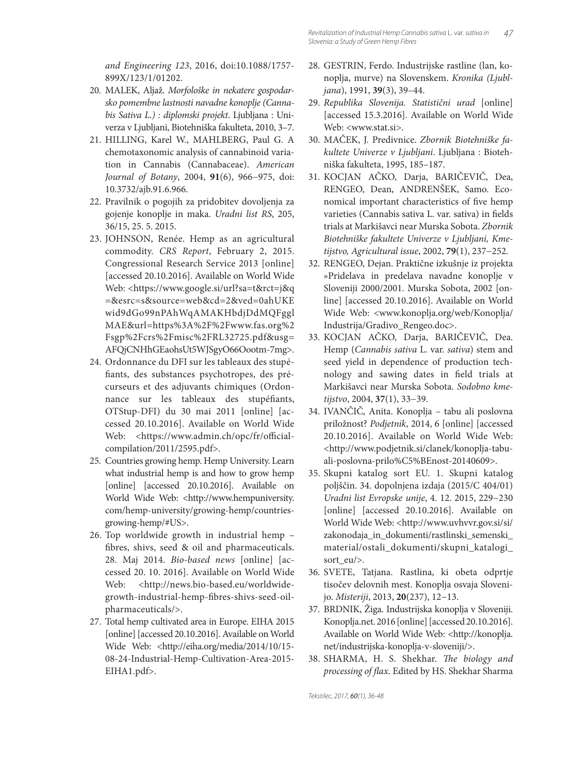*and Engineering 123*, 2016, doi:10.1088/1757- 899X/123/1/01202.

- 20. MALEK, Aljaž. *Morfološke in nekatere gospodarsko pomembne lastnosti navadne konoplje (Cannabis Sativa L.) : diplomski projekt*. Ljub ljana : Univerza v Ljubljani, Biotehniška fakulteta, 2010, 3-7.
- 21. HILLING, Karel W., MAHLBERG, Paul G. A chemotaxonomic analysis of cannabinoid variation in Cannabis (Cannabaceae). *American Journal of Botany*, 2004, **91**(6), 966−975, doi: 10.3732/ajb.91.6.966.
- 22. Pravilnik o pogojih za pridobitev dovoljenja za gojenje konoplje in maka. *Uradni list RS*, 205, 36/15, 25. 5. 2015.
- 23. JOHNSON, Renée. Hemp as an agricultural commodity. *CRS Report*, February 2, 2015. Congressional Research Service 2013 [online] [accessed 20.10.2016]. Available on World Wide Web: <https://www.google.si/url?sa=t&rct=j&q =&esrc=s&source=web&cd=2&ved=0ahUKE wid9dGo99nPAhWqAMAKHbdjDdMQFggl MAE&url=https%3A%2F%2Fwww.fas.org%2 Fsgp%2Fcrs%2Fmisc%2FRL32725.pdf&usg= AFQjCNHhGEaohsUt5WJSgyO66Oootm-7mg>.
- 24. Ordonnance du DFI sur les tableaux des stupéfiants, des substances psychotropes, des précurseurs et des adjuvants chimiques (Ordonnance sur les tableaux des stupéfiants, OTStup-DFI) du 30 mai 2011 [online] [accessed 20.10.2016]. Available on World Wide Web: <https://www.admin.ch/opc/fr/officialcompilation/2011/2595.pdf>.
- 25. Countries growing hemp. Hemp University. Learn what industrial hemp is and how to grow hemp [online] [accessed 20.10.2016]. Available on World Wide Web: <http://www.hempuniversity. com/hemp-university/growing-hemp/countriesgrowing-hemp/#US>.
- 26. Top worldwide growth in industrial hemp fibres, shivs, seed & oil and pharmaceuticals. 28. Maj 2014. *Bio-based news* [online] [accessed 20. 10. 2016]. Available on World Wide Web: <http://news.bio-based.eu/worldwidegrowth-industrial-hemp-fibres-shivs-seed-oilpharmaceuticals/>.
- 27. Total hemp cultivated area in Europe. EIHA 2015 [online] [accessed 20.10.2016]. Available on World Wide Web: <http://eiha.org/media/2014/10/15-08-24-Industrial-Hemp-Cultivation-Area-2015- EIHA1.pdf>.
- 28. GESTRIN, Ferdo. Industrijske rastline (lan, konoplja, murve) na Slovenskem. *Kronika (Ljubljana*), 1991, **39**(3), 39–44.
- 29. *Republika Slovenija. Statistični urad* [online] [accessed 15.3.2016]. Available on World Wide Web: <www.stat.si>.
- 30. MAČEK, J. Predivnice. *Zbornik Biotehniške fakultete Univerze v Ljubljani*. Ljubljana : Bio tehniška fakulteta, 1995, 185–187.
- 31. KOCJAN AČKO, Darja, BARIČEVIČ, Dea, RENGEO, Dean, ANDRENŠEK, Samo. Economical important characteristics of five hemp varieties (Cannabis sativa L. var. sativa) in fields trials at Markišavci near Murska Sobota. *Zbornik Biotehniške fakultete Univerze v Ljubljani, Kmetijstvo, Agricultural issue*, 2002, **79**(1), 237−252.
- 32. RENGEO, Dejan. Praktične izkušnje iz projekta »Pridelava in predelava navadne konoplje v Sloveniji 2000/2001. Murska Sobota, 2002 [online] [accessed 20.10.2016]. Available on World Wide Web: <www.konoplja.org/web/Konoplja/ Industrija/Gradivo\_Rengeo.doc>.
- 33. KOCJAN AČKO, Darja, BARIČEVIČ, Dea. Hemp (*Cannabis sativa* L. var. *sativa*) stem and seed yield in dependence of production technology and sawing dates in field trials at Markišavci near Murska Sobota. *Sodobno kmetijstvo*, 2004, **37**(1), 33−39.
- 34. IVANČIČ, Anita. Konoplja tabu ali poslovna priložnost? *Podjetnik*, 2014, 6 [online] [accessed 20.10.2016]. Available on World Wide Web: <http://www.podjetnik.si/clanek/konoplja-tabuali-poslovna-prilo%C5%BEnost-20140609>.
- 35. Skupni katalog sort EU. 1. Skupni katalog poljščin. 34. dopolnjena izdaja (2015/C 404/01) *Uradni list Evropske unije*, 4. 12. 2015, 229−230 [online] [accessed 20.10.2016]. Available on World Wide Web: <http://www.uvhvvr.gov.si/si/ zakonodaja\_in\_dokumenti/rastlinski\_semenski\_ material/ostali\_dokumenti/skupni\_katalogi\_ sort\_eu/>.
- 36. SVETE, Tatjana. Rastlina, ki obeta odprtje tisočev delovnih mest. Konoplja osvaja Slovenijo. *Misteriji*, 2013, **20**(237), 12−13.
- 37. BRDNIK, Žiga. Industrijska konoplja v Sloveniji. Konoplja.net. 2016 [online] [accessed 20.10.2016]. Available on World Wide Web: <http://konoplja. net/industrijska-konoplja-v-sloveniji/>.
- 38. SHARMA, H. S. Shekhar. *The biology and* processing of flax. Edited by HS. Shekhar Sharma